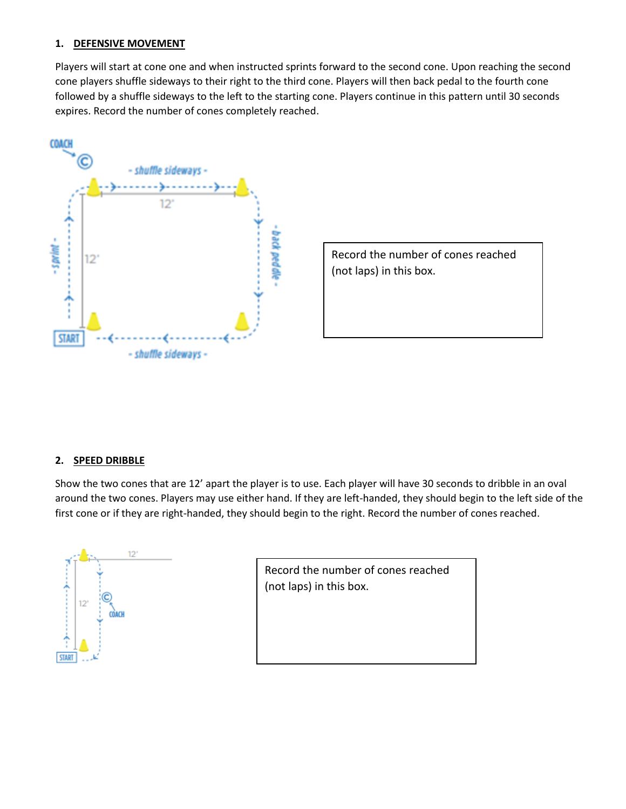## **1. DEFENSIVE MOVEMENT**

Players will start at cone one and when instructed sprints forward to the second cone. Upon reaching the second cone players shuffle sideways to their right to the third cone. Players will then back pedal to the fourth cone followed by a shuffle sideways to the left to the starting cone. Players continue in this pattern until 30 seconds expires. Record the number of cones completely reached.



Record the number of cones reached (not laps) in this box.

## **2. SPEED DRIBBLE**

Show the two cones that are 12' apart the player is to use. Each player will have 30 seconds to dribble in an oval around the two cones. Players may use either hand. If they are left-handed, they should begin to the left side of the first cone or if they are right-handed, they should begin to the right. Record the number of cones reached.



Record the number of cones reached (not laps) in this box.